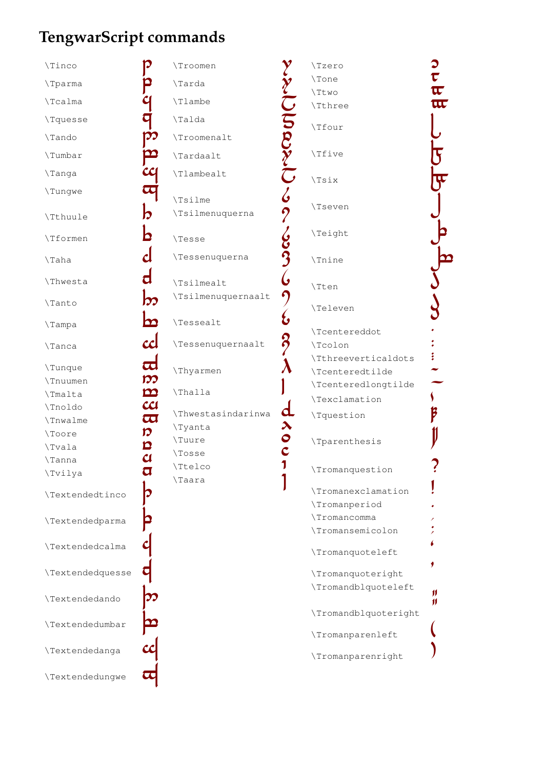# **TengwarScript commands**

| \Tinco           |                             |
|------------------|-----------------------------|
| \Tparma          |                             |
| \Tcalma          |                             |
| \Tquesse         |                             |
| \Tando           |                             |
| \Tumbar          |                             |
| \Tanga           |                             |
| \Tungwe          |                             |
|                  |                             |
| \Tthuule         |                             |
| \Tformen         | b                           |
| \Taha            | $\overline{\mathcal{C}}$    |
| \Thwesta         | $\overline{\mathbf{d}}$     |
| \Tanto           |                             |
|                  |                             |
| \Tampa           |                             |
| \Tanca           |                             |
| \Tunque          |                             |
| \Tnuumen         |                             |
| \Tmalta          |                             |
| \Tnoldo          | CCI                         |
| \Tnwalme         | TU                          |
| \Toore           | Ŋ                           |
| \Tvala           | D                           |
| \Tanna           | $\boldsymbol{\mathfrak{c}}$ |
| \Tvilya          | $\overline{\mathbf{a}}$     |
| \Textendedtinco  | $\overline{\mathbf{c}}$     |
| \Textendedparma  | þ                           |
|                  |                             |
| \Textendedcalma  | $\mathbf{c}$                |
| \Textendedquesse | $\mathsf{d}$                |
|                  |                             |
| \Textendedando   |                             |
| \Textendedumbar  |                             |
|                  |                             |
| \Textendedanga   |                             |
| \Textendedungwe  |                             |
|                  |                             |

| \Troomen           |         |
|--------------------|---------|
| \Tarda             |         |
| \Tlambe            |         |
| \Talda             |         |
| \Troomenalt        |         |
| \Tardaalt          |         |
| \Tlambealt         |         |
|                    |         |
| \Tsilme            | JS<br>? |
| \Tsilmenuquerna    |         |
| \Tesse             |         |
|                    |         |
| \Tessenuquerna     |         |
| \Tsilmealt         |         |
| \Tsilmenuquernaalt |         |
| \Tessealt          | 363696  |
|                    |         |
| \Tessenuquernaalt  |         |
| \Thyarmen          |         |
|                    |         |
| \Thalla            |         |
| \Thwestasindarinwa |         |
| \Tyanta            |         |
| \Tuure<br>\Tosse   |         |
| \Ttelco            |         |
| \Taara             |         |
|                    |         |
|                    |         |
|                    |         |
|                    |         |
|                    |         |
|                    |         |
|                    |         |
|                    |         |

| <i><b>\Tzero</b></i>  |                |
|-----------------------|----------------|
| \Tone                 |                |
| \Ttwo                 |                |
| \Tthree               |                |
|                       |                |
| \Tfour                |                |
|                       |                |
| \Tfive                |                |
|                       |                |
|                       |                |
| \Tsix                 |                |
|                       |                |
| \Tseven               |                |
|                       |                |
| \Teight               |                |
|                       |                |
| \Tnine                |                |
|                       |                |
| \Tten                 |                |
|                       |                |
| \Televen              |                |
|                       |                |
| \Tcentereddot         |                |
| \Tcolon               |                |
| \Tthreeverticaldots   | $\ddot{\cdot}$ |
| \Tcenteredtilde       |                |
| \Tcenteredlongtilde   |                |
| \Texclamation         |                |
|                       |                |
| \Tquestion            |                |
|                       |                |
| <i>\</i> Tparenthesis |                |
|                       |                |
| \Tromanquestion       |                |
|                       |                |
| \Tromanexclamation    |                |
| \Tromanperiod         |                |
| \Tromancomma          |                |
| \Tromansemicolon      | ノ・ノム           |
|                       |                |
| \Tromanquoteleft      |                |
|                       |                |
| \Tromanquoteright     |                |
| \Tromandblquoteleft   | 11             |
|                       | 11             |
| \Tromandblquoteright  |                |
| \Tromanparenleft      |                |
|                       |                |
| \Tromanparenright     |                |
|                       |                |
|                       |                |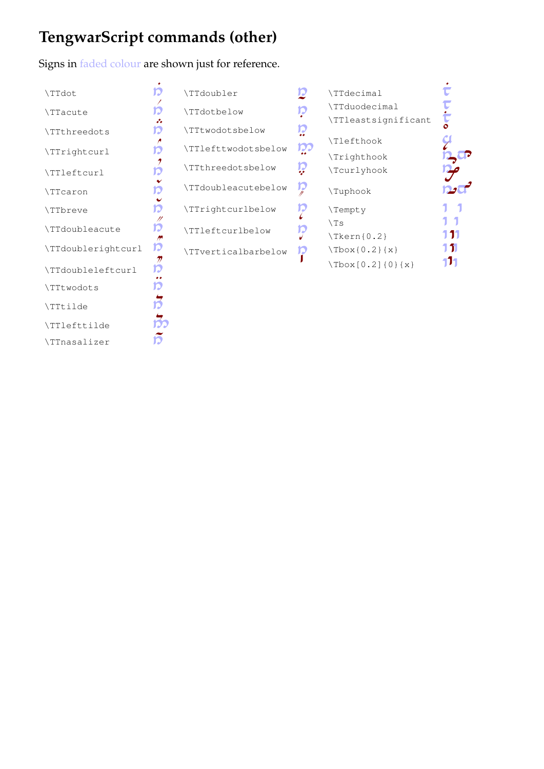## **TengwarScript commands (other)**

Signs in faded colour are shown just for reference.

| \TTdot             |                      |
|--------------------|----------------------|
| \TTacute           |                      |
| \TTthreedots       | ő                    |
| \TTrightcurl       | ြ                    |
| \TTleftcurl        | $\frac{2}{12}$       |
| \TTcaron           | $\check{\mathbf{p}}$ |
| \TTbreve           | ່ກັ                  |
| \TTdoubleacute     | ő                    |
| \TTdoublerightcurl | $\mathcal{L}$        |
| \TTdoubleleftcurl  | $\vec{c}$            |
| \TTtwodots         | $\ddot{\mathbf{p}}$  |
| \TTtilde           |                      |
| \TTlefttilde       |                      |
| \TTnasalizer       |                      |

| \TTdoubler          |  |
|---------------------|--|
| \TTdotbelow         |  |
| \TTtwodotsbelow     |  |
| \TTlefttwodotsbelow |  |
| \TTthreedotsbelow   |  |
| \TTdoubleacutebelow |  |
| \TTrightcurlbelow   |  |
| \TTleftcurlbelow    |  |
| \TTverticalbarbelow |  |
|                     |  |

| \TTdecimal                                |     |
|-------------------------------------------|-----|
| \TTduodecimal                             |     |
| \TTleastsignificant                       | てさ。 |
| \Tlefthook                                |     |
| \Trighthook                               |     |
| \Tcurlyhook                               |     |
| \Tuphook                                  |     |
| \Tempty                                   |     |
| $\Gamma$ s                                |     |
| $\Theta$ .2}                              |     |
| $\Upsilon$                                | าา  |
| $\Upsilon$ / Tbox $[0.2]$ $\{0\}$ $\{x\}$ |     |
|                                           |     |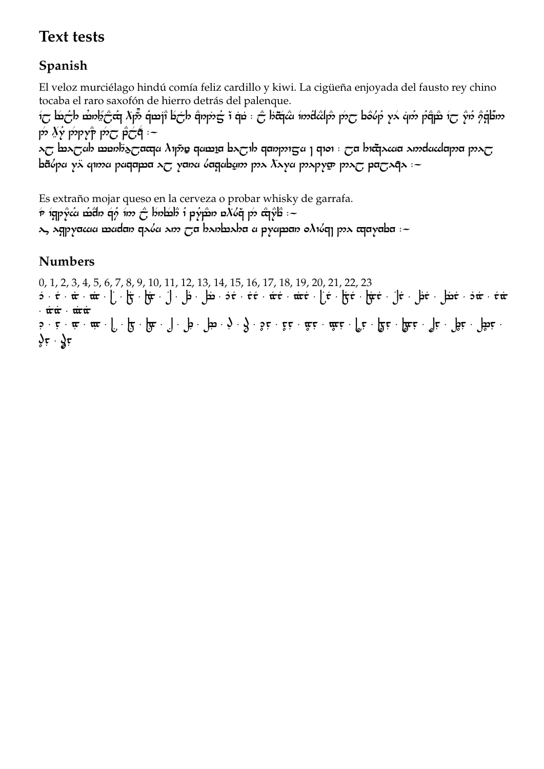### **Text tests**

#### **Spanish**

El veloz murciélago hindú comía feliz cardillo y kiwi. La cigüeña enjoyada del fausto rey chino tocaba el raro saxofón de hierro detrás del palenque.

 $\hat{\tau}$  بن جز می است به است که به است و است است است است و است است و به است است و است می به است است است است است  $\frac{1}{2}$  ph  $\frac{1}{2}$   $\frac{1}{2}$   $\frac{1}{2}$   $\frac{1}{2}$   $\frac{1}{2}$   $\frac{1}{2}$   $\frac{1}{2}$   $\frac{1}{2}$   $\frac{1}{2}$   $\frac{1}{2}$   $\frac{1}{2}$   $\frac{1}{2}$   $\frac{1}{2}$   $\frac{1}{2}$   $\frac{1}{2}$   $\frac{1}{2}$   $\frac{1}{2}$   $\frac{1}{2}$   $\frac{1}{2}$   $\frac{1}{2}$   $\frac{1}{2}$  $\lambda$ ζ b b σται β του θέλημα λήδια του θελζ θα τριατισμένει για τη θελάματα πολλακια προσε  $\epsilon$ ) bā $\omega$ pa vira padaba  $\alpha$  vana bagabam pos  $\chi$ sya pospy $\widehat{\varphi}$  pos $\widehat{\pi}$  pa $\widehat{\pi}$ sqs

Es extraño mojar queso en la cerveza o probar whisky de garrafa.  $\hat{\bm{\sigma}}$  (קוֹקָה לֹעֲמָם A Fe igp  $\hat{\bm{\sigma}}$  for  $\hat{\bm{\sigma}}$ ) הוא די המֹ  $\lambda$ ,  $\lambda$ gpyacuu mudan q $\lambda$ 6u  $\lambda$ m  $\tau$ ,a h $\lambda$ nba $\lambda$ ha u pyuman o $\lambda$ 16q1 p $\lambda$  aqayaba :-

#### **Numbers**

0, 1, 2, 3, 4, 5, 6, 7, 8, 9, 10, 11, 12, 13, 14, 15, 16, 17, 18, 19, 20, 21, 22, 23  $\frac{1}{\alpha}$ الله الله التي ين الله عن الله عن الله عن الله عن الله عن الله عن الله عن الله عن الله عن الله عن ال  $\frac{1}{2}$   $\frac{1}{2}$   $\frac{1}{2}$   $\frac{1}{2}$   $\frac{1}{2}$   $\frac{1}{2}$   $\frac{1}{2}$   $\frac{1}{2}$   $\frac{1}{2}$   $\frac{1}{2}$   $\frac{1}{2}$   $\frac{1}{2}$   $\frac{1}{2}$   $\frac{1}{2}$   $\frac{1}{2}$   $\frac{1}{2}$   $\frac{1}{2}$   $\frac{1}{2}$   $\frac{1}{2}$   $\frac{1}{2}$   $\frac{1}{2}$   $\frac{1}{2}$  0E P 3E P bE P cE P dEP eE P fE P gE P hEP iE P jE P kE P 0n3E P 3n3E P bn 3E P cn 3E P dn3E P en 3E P fn 3E P gn3E P hn3E P in 3E P  $\lambda$ e  $\lambda$ e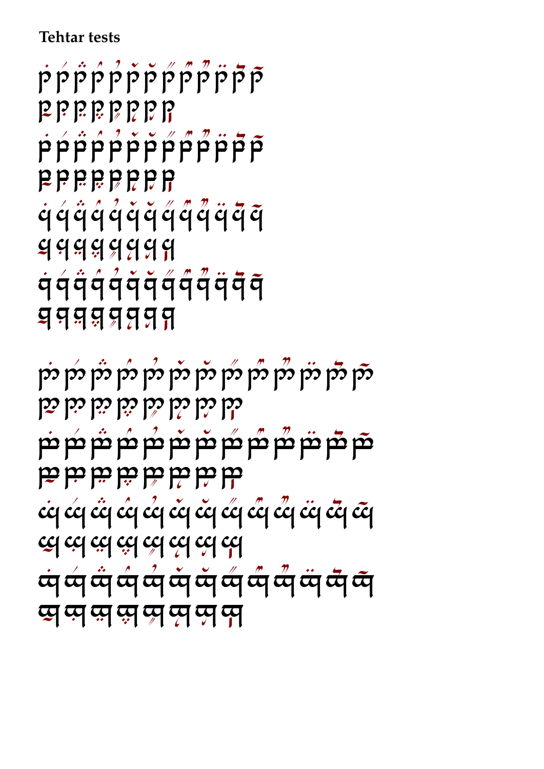**Tehtar tests**

```
\dot{\mathsf{p}} \dot{\mathsf{p}} \dot{\mathsf{p}} \dot{\mathsf{p}} \ddot{\mathsf{p}} \ddot{\mathsf{p}} \ddot{\mathsf{p}} \ddot{\mathsf{p}} \ddot{\mathsf{p}} \ddot{\mathsf{p}} \ddot{\mathsf{p}}\overline{\mathbf{r}}\overline{\mathbf{a}}\overline{\mathbf{1}}j
MECAWXZV
 \dot{\mathsf{P}} \, \dot{\mathsf{P}} \, \dot{\mathsf{P}} \, \dot{\mathsf{P}} \, \dot{\mathsf{P}} \, \dot{\mathsf{P}} \, \dot{\mathsf{P}} \, \dot{\mathsf{P}} \, \ddot{\mathsf{P}} \, \dot{\mathsf{P}} \, \ddot{\mathsf{P}} \, \dot{\mathsf{P}} \, \dot{\mathsf{P}} \, \dot{\mathsf{P}} \, \dot{\mathsf{P}}\overline{\mathbf{r}}\overline{\mathbf{a}}\overline{\mathbf{1}}j
Bbbbbbb
 \dot{q}\acute{q}F
                     بة
                             \hat{q}\overline{\phantom{a}}\stackrel{\text{\normalsize\it\j}}{\mathcal{A}}J
                                                  \check{q}\ddot{\bullet}q
                                                                     \H{q}\hat{q}\ddot{q}\ddot{q} \, \ddot{q} \, \tilde{q}-
M-
E-
C-
A-
W-
X-
Z-
                                                                             \overline{\phantom{a}}वं वं वं वं वं वं वुँ वुँ वुँ वुँ वुँ वु
                   F
                                      H
                                                J
                                                           CONTRACT
MECAWXZV
 \dot{\mathbf{p}} \dot{\mathbf{p}} \dot{\mathbf{p}} \dot{\mathbf{p}} \dot{\mathbf{p}} \dot{\mathbf{p}} \dot{\mathbf{p}} \dot{\mathbf{p}} \dot{\mathbf{p}} \dot{\mathbf{p}} \dot{\mathbf{p}} \dot{\mathbf{p}} \dot{\mathbf{p}} \dot{\mathbf{p}} \dot{\mathbf{p}} \dot{\mathbf{p}} \dot{\mathbf{p}} \dot{\mathbf{p}} \dot{\mathbf{p}} \dot{\mathbf{p}} F
                                                       \bullet\bulletO
حط حظ حظ حظ حظ حظ حط
 \hat{\mathbf{p}} ش ش ش ش ش ش ش ش ش ش ش ش به \tilde{\mathbf{p}}F
                                                       H
                                                                      \mathbf{z}\overline{\phantom{a}}
```
 $\overleftrightarrow{\text{m}}$  when  $\overleftrightarrow{\text{m}}$ 

H

cel cel cel cel cel cel cel

H

<u>प्</u>यु प्यु प्यु प्यु प्यु प्यु

 $\overline{\mathbf{I}}$ 

**J** 

 $\overline{\mathbf{f}}$ 

 $\overline{\mathfrak{f}}$ 

D @ % FF H H J J BNL

 $\dot{\vec{a}}$   $\dot{\vec{a}}$   $\dot{\vec{a}}$   $\dot{\vec{a}}$   $\dot{\vec{a}}$   $\ddot{\vec{a}}$   $\ddot{\vec{a}}$   $\ddot{\vec{a}}$   $\ddot{\vec{a}}$   $\ddot{\vec{a}}$   $\ddot{\vec{a}}$   $\ddot{\vec{a}}$ 

 $\overline{\mathbf{a}}$ 

 $\overline{\mathbf{I}}$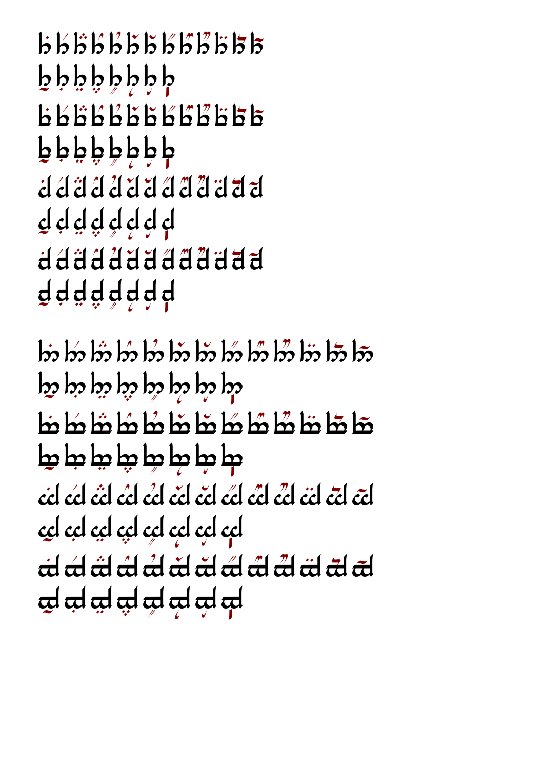```
b\overline{b} \overline{b} \overline{b} \overline{b} \overline{b} \overline{b} \overline{b} \overline{b} \overline{b} \overline{b} \overline{b} \overline{b} \overline{b}વે વે વે વે વે વે વે વે
bbbbbbbbbbbb
ط ط ط ط ط ط ط ط <mark>ط</mark>

D
F
@
H
J
O
%
FF
H H
J J
B
N
L
اب<sub>ً</sub> اب<sub>ً</sub> اب اب
                A

                     d d d
ddäddädad alad
वै <del>q</del> वे वे वे वे वे
```
 $\frac{1}{2}$  and  $\frac{1}{2}$  in the left called called cal cal cal ندا ند تهر دم نوا نوا نوا توم<br>موا ندا بن هَا هَا ضَا هَا هَا هَا ضَا ضَا هَا ضَا ضَا ضَا ضَا M
E
C A W X
Z VDF@HJO%FFH HJ JBNL دوا ددا ددا ددا ددا ددا ددا  $\overline{\mathbf{a}}$  $\dot{\bf c}$ d  $\dot{\bf d}$   $\dot{\bf d}$   $\dot{\bf d}$   $\dot{\bf d}$   $\ddot{\bf d}$   $\ddot{\bf d}$   $\ddot{\bf d}$   $\ddot{\bf d}$   $\ddot{\bf d}$   $\ddot{\bf d}$   $\ddot{\bf d}$ ME C A W XZ V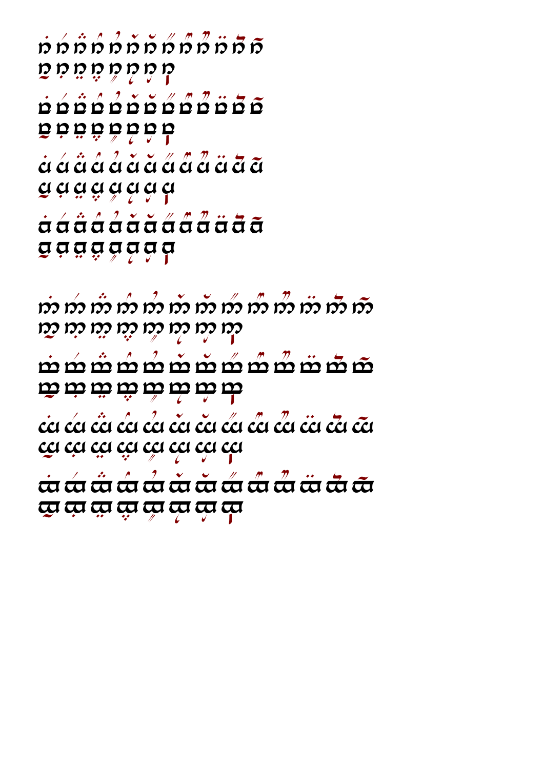$\dot{\mathbf{p}}$   $\dot{\mathbf{p}}$   $\dot{\mathbf{p}}$   $\dot{\mathbf{p}}$   $\dot{\mathbf{p}}$   $\dot{\mathbf{p}}$   $\ddot{\mathbf{p}}$   $\ddot{\mathbf{p}}$   $\ddot{\mathbf{p}}$   $\ddot{\mathbf{p}}$   $\ddot{\mathbf{p}}$   $\ddot{\mathbf{p}}$   $\ddot{\mathbf{p}}$   $\ddot{\mathbf{p}}$   $\ddot{\mathbf{p}}$ F  $\frac{1}{4}$  $\frac{1}{4}$ Jr.<br>A ל ט ט ט ט ט ט ט ט ט<br>מ ט ט ט ט ט ט ט ט D @ % FF H H J J BNL F  $\frac{1}{4}$  $\frac{1}{4}$ j<br>L a a a a a a a a<br>A a a a a a a a à à à à à à à å å å ä ä ā F  $\overline{\phantom{a}}$ J  $\sum_{i=1}^{n}$ a a a a a a a a<br>g a a a a a a a D @ % FF H H J J BNL  $\frac{1}{2}$  $\frac{1}{2}$  $\frac{1}{2}$  $\ddot{\bm{\zeta}}$ ងិងបង្កប់បំពុ  $\ddot{\phantom{0}}$ 

D @ % FF H H J J BNL  $\ddot{\phantom{0}}$  $\bullet$  $\ddot{\phantom{0}}$  $\overline{\phantom{0}}$ כתו כתו כתו כתו כתו כתו כתו כתו<br>את כתו כתו כתו כתו כתו כתו כתו VD @ % FF H H J J BNL F  $\frac{1}{2}$  $\frac{1}{2}$  $\begin{bmatrix} 1 \\ 1 \end{bmatrix}$ ما شا شا شا شا شا بنا بنا<br>بنا بنا بنا بنا بنا بنا بنا po po po po po po po po po carca carca carca carca carca carca carca carca carca carca carca carca carca carca carca carca carca carca carca carca carca carca carca carca carca carca carca carca carca carca carca carca car  $\mathbf{I}$  $\mathbf{I}$  $\mathbf{I}$  $\int$ ca ca ca ca ca ca ca ca  $\int$ के के की की की की की की की की की है।<br>सामाम सामाम सामा T<br>-T<br>T l<br>J  $\int$ www.com .<br>ا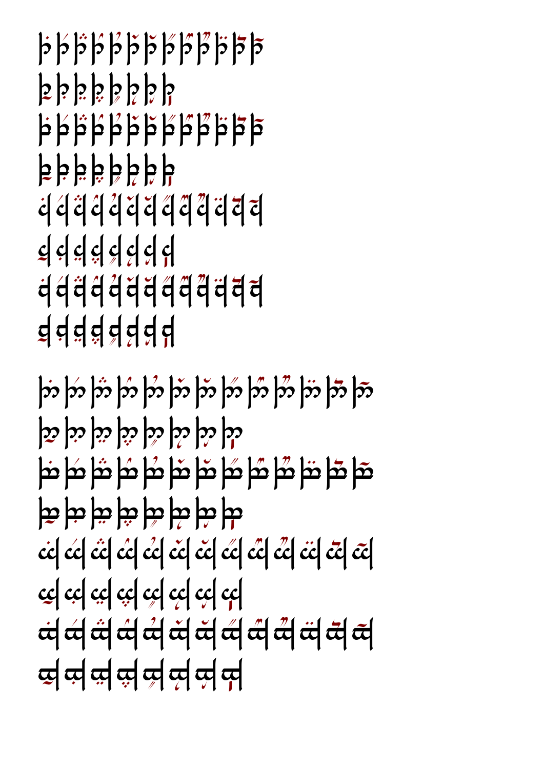```
\frac{1}{6}קלקולן קלקלק
\frac{1}{2}|c|c|c|c|c
)D)F)@)H)J)O)%)FF)H H)J J)B)N)L
\frac{1}{2}ddd)
*D*F*@*H*J*O*%*FF*H H*J J*B*N*L
*M*E*C*A*W*X*Z*V
<u>ddddddddddddd</u>
वे वे वे वे वे वे वे
```
 $\left|\dot{\gamma}\right\rangle\left|\dot{\gamma}\right\rangle\left|\dot{\gamma}\right\rangle\left|\dot{\gamma}\right\rangle\left|\dot{\gamma}\right\rangle\left|\dot{\gamma}\right\rangle\left|\dot{\gamma}\right\rangle\left|\dot{\gamma}\right\rangle\left|\dot{\gamma}\right\rangle\left|\dot{\gamma}\right\rangle\left|\dot{\gamma}\right\rangle$  $\ket{\widetilde{\omega}}$  بنا بنا بنا بنا بنا  $\Delta \sim 10^{-4}$  هَم الله الله الله الله الله على الله على الله على الله على الله على الله على الله على الله على الله على الله على الله على الله على الله على الله على الله على الله على الله على الله على الله على الله على الل  $\frac{1}{\sqrt{2}}$  مطاح بنا من من  $\epsilon$ ic  $\epsilon$  ic  $\epsilon$  ic  $\epsilon$  ic  $\epsilon$  ic  $\epsilon$  ic  $\epsilon$  ic  $\epsilon$  ic  $\epsilon$  if  $\epsilon$  ic  $\epsilon$  if  $\epsilon$  if  $\epsilon$  is the integret in  $c$ cel cel cel cel cel cel  $\frac{d}{dt}\frac{d}{dt}\frac{d}{dt}\frac{d}{dt}\frac{d}{dt}\frac{d}{dt}\frac{d}{dt}\frac{d}{dt}\frac{d}{dt}$  $\frac{d}{dx}$  and  $\frac{d}{dx}$  and  $\frac{d}{dx}$  and  $\frac{d}{dx}$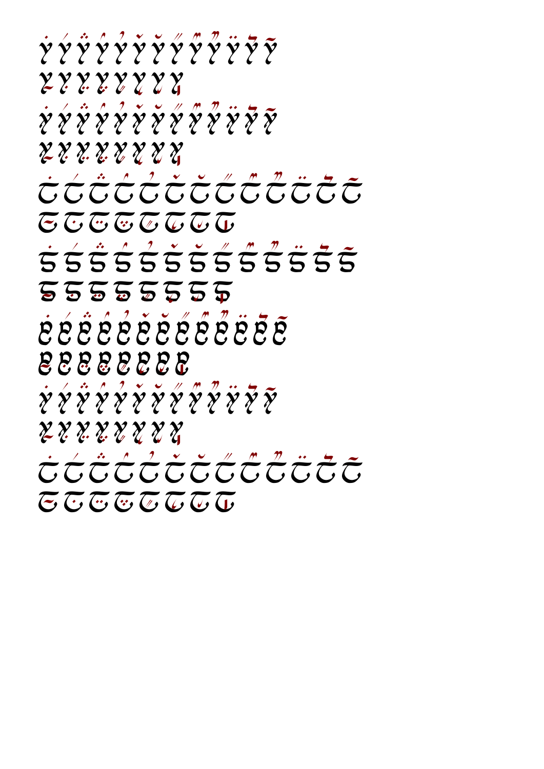$\dot{\gamma} \acute{\gamma} \dot{\gamma} \acute{\gamma} \dot{\gamma} \ddot{\gamma} \ddot{\gamma} \ddot{\gamma} \ddot{\gamma} \ddot{\gamma} \ddot{\gamma} \ddot{\gamma} \ddot{\gamma}$ F J O  $Z$   $Z$   $Z$   $Z$   $Z$   $Z$   $Z$   $Z$  $\dot{\gamma}\dot{\gamma}\dot{\gamma}\dot{\gamma}\dot{\gamma}\dot{\gamma}\dot{\gamma}\ddot{\gamma}\ddot{\gamma}\ddot{\gamma}\ddot{\gamma}\ddot{\gamma}\ddot{\gamma}\ddot{\gamma}$ F J **ON**  $ZZZZZ$ *ڂڂڎڎڎڎڎڎڎڎڎڂڎ* F  $\frac{1}{2}$  $\ddot{\phantom{0}}$ O  $\overline{G}\,\overline{G}\,\overline{G}\,\overline{G}\,\overline{G}\,\overline{G}$ **55555555555** F  $\overline{\phantom{a}}$  $\overline{\phantom{a}}$  $\frac{1}{2}$ 555555 *ÉÉÊÊĚÉÉËËËË E*  $\overline{\mathbf{r}}$  $\frac{1}{\sqrt{2}}$  $\overline{\phantom{a}}$  $\overline{\mathcal{C}}$ 888888 D @ % FF H H J J BNL F J  $\frac{1}{2}$ ME CAWXZV ささきささささささ  $\frac{1}{2}$  $\ddot{\phantom{0}}$  $\overline{\phantom{a}}$ O  $\overline{G}\,\overline{G}\,\overline{G}\,\overline{G}\,\overline{G}\,\overline{G}$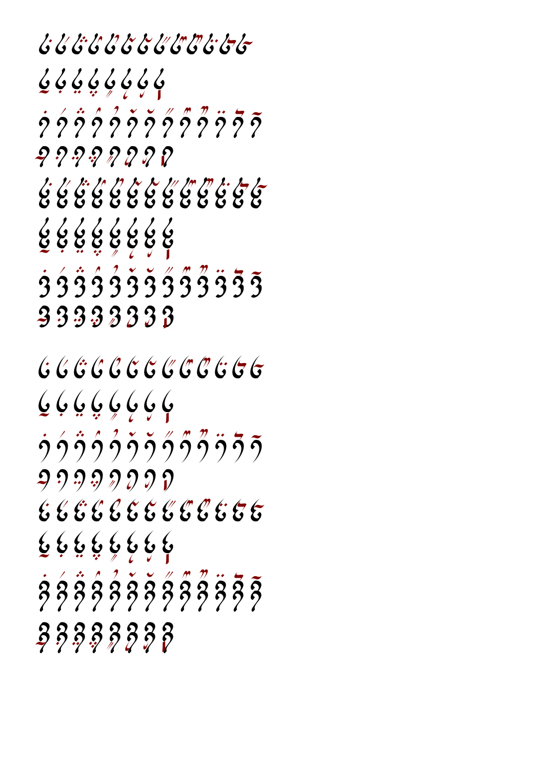D F @H J O%FF H H J J BN L پي ئي ئي ئي ئي ئي ئي کي  $\dot\gamma\,\dot\gamma\,\dot\gamma\,\dot\gamma\,\ddot\gamma\,\ddot\gamma\,\ddot\gamma\,\ddot\gamma\,\ddot\gamma\,\ddot\gamma\,\ddot\gamma$ F  $\frac{1}{2}$ J O  $- 9999990$  $\ddot{G}$   $\ddot{G}$   $\ddot{G}$   $\ddot{G}$   $\ddot{G}$   $\ddot{G}$   $\ddot{G}$   $\ddot{G}$   $\ddot{G}$   $\ddot{G}$   $\ddot{G}$   $\ddot{G}$  $\overline{\mathcal{L}}$  $\begin{equation} \begin{array}{c} \mathcal{L} \\ \mathcal{L} \end{array} \end{equation}$ A  $\overline{\mathcal{L}}$  $\begin{array}{c} \n\phi & \phi \\
\phi & \phi\n\end{array}$  $\dot{3}\acute{3}\dot{3}\acute{3}\dot{3}\dot{3}\ddot{3}\ddot{3}\ddot{3}\ddot{3}\ddot{3}\ddot{3}\ddot{3}$  $\frac{1}{2}$ 333333 ÑDÑFÑ@ÑHÑJÑOÑ%ÑFFÑH HÑJ JÑBÑNÑL ې پا پا پا پا پا پا  $\check{O}$   $\check{O}$   $\check{O}$   $\check{O}$   $\check{O}$   $\check{O}$   $\check{O}$   $\check{O}$   $\check{O}$   $\check{O}$   $\check{O}$   $\check{O}$   $\check{O}$  $\overline{\phantom{a}}$  $999990$  $\mathfrak{g}$   $\mathfrak{g}$   $\mathfrak{g}$   $\mathfrak{g}$   $\mathfrak{g}$   $\mathfrak{g}$   $\mathfrak{g}$   $\mathfrak{g}$   $\mathfrak{g}$   $\mathfrak{g}$ کا کا کا پا یا یا یا  $\dot{\tilde{z}}\acute{z}\dot{\tilde{z}}\acute{z}\acute{z}\tilde{z}\ddot{\tilde{z}}\ddot{\tilde{z}}\ddot{\tilde{z}}\ddot{\tilde{z}}\ddot{\tilde{z}}$ O ±M±E±C±A±W±X±Z±V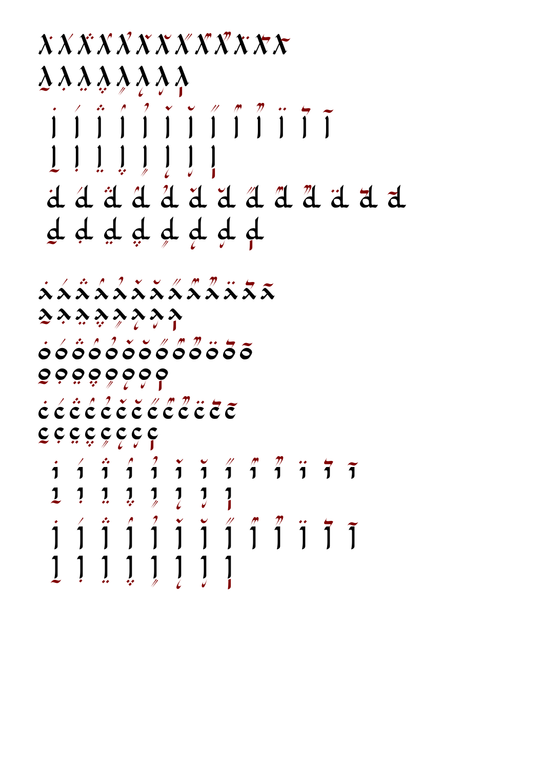$X \, X \, X \, X \, X \, X \, X \, X \, X \, X \, X \, X$  $\Delta \lambda \lambda \lambda \lambda \lambda \lambda \lambda$  $j \; j \; j \; j \; j \; j \; j \; j \; j \; j \; j \; j \; j$ 1 1 1 1 1 1 1 1 d d d d d d d d d d d d d d d d d d d d d d *xxxxxxxxxxxxx* **SYYYYYYY o**o *o o o o o o*  $C$ ccccccccc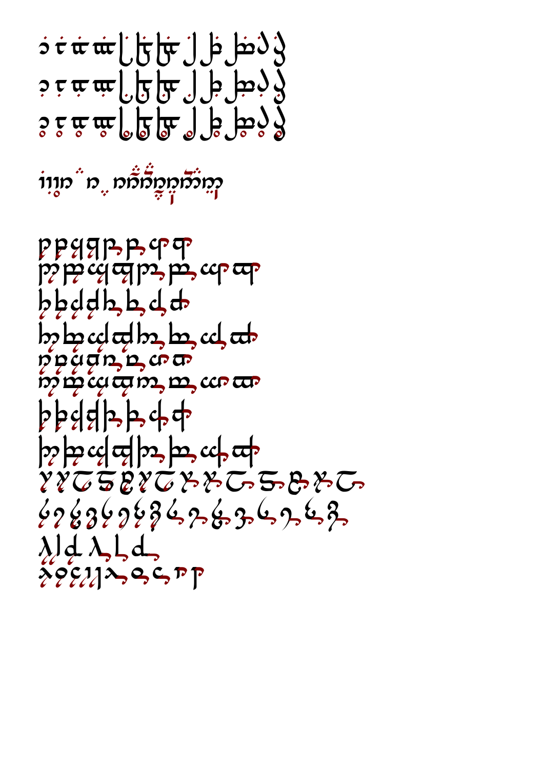ذخ شر ظل ال تعالى الله عنه خ بجنو بعد الله على الله عبد مع الله عن الله عن الله عن الله عن الله عن الله عن الله عن الله عن الله ع  $\sum_{i=1}^{n} \sum_{i=1}^{n} \sum_{j=1}^{n} \sum_{j=1}^{n} \sum_{j=1}^{n} \sum_{j=1}^{n} \sum_{j=1}^{n} \sum_{j=1}^{n} \sum_{j=1}^{n} \sum_{j=1}^{n} \sum_{j=1}^{n} \sum_{j=1}^{n} \sum_{j=1}^{n} \sum_{j=1}^{n} \sum_{j=1}^{n} \sum_{j=1}^{n} \sum_{j=1}^{n} \sum_{j=1}^{n} \sum_{j=1}^{n} \sum_{j=1}^{n} \sum_{j=1}^{n} \sum_{j=1}^{n}$ 

*ရေးငိုရင့်ငြံရေး (ရ*ှုံး) က<sup>်</sup>ကျွေး

 $PP99P P P P P P$ p? p? cg cg p2, p2, ccp cqp  $b$  beddh, b, d, ch  $b$   $\sigma$   $c$   $d$   $c$   $d$   $b$   $\sigma$   $c$   $d$   $c$   $d$ *က်*စု*ပွဲ*ပွဲကြောင်း m m cu cu m m ccn can ppggpp.cp  $|p\overline{p}$  by celorged by  $p\overline{p}$  and  $p\overline{p}$ YYG52YGY&G5BYG  $6288999834289992722$  $\lambda$ d $\lambda$ , Ld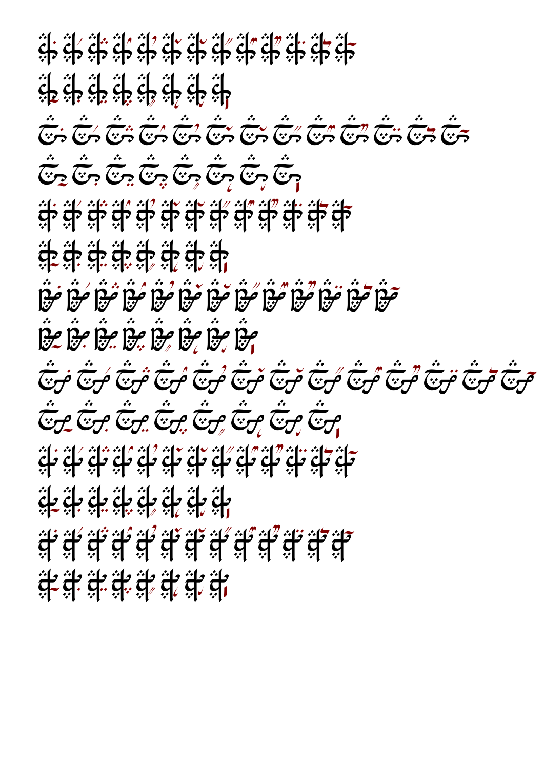हीं ही हैं हैं कि मैं के ही हैं हैं कि मैं के मैं की ही ही है, है, है, है, है, है, है جَنَّ جَنَّ جَنَّ مَنْ الْمَسَى الْمَرْيَا وَاللَّهُ حَيْثَ جَنَّ جَنَّ جَنَّ جَنَّ جَنَّ جَنَّ ۻ*ٞ*<br>ڄِؾٚڲٙ ڄِؾٚڲ ڄِؾڲٙ ڇِتَڲَ ڇِتَڲَ ڄِتَيْ ڇِتَ के के के के के के के के के के के के के के के के के के के के مِنْ مِنْ الْمَنْ الْمَنْ الْمَنْ الْمَنْ الْمَنْ الْمَنْ الْمَنْ الْمَنْ حَرَيْنَ حَرَيْنَ صَرْيَٰنَا صَرْيَٰنَا صَرْيَٰنَا صَرْيَنَا صَرْيَنَا صَرْيَنَا صَرْيَنَا صَرْيَنَا صَرْيَنَا بِهِنَّ مِنْ مِنْ مِنْ مِنْ بِهِنَّ بِهِنَّ مِنْ بِهِنَّ مِنْ مِنْ َ حَلَّيْ حَلَّيْ مَلَّيْ مَلَّيْ مَلَّيْ مَلَّيْ مَلَّيْ مَلَّيْ مَلَّىٰ مَلَّيْ مَلَّيْ مَلَّيْ مَ بِلْ بِإِيْ بِلْ بِلْ بِيْنَ بِيْنَ بِيْنَ بِيْنَ بِيْنَ بِيْنَ **يَا: يَا: يَا: يَا: يَا: يَا: يَا: يَا:**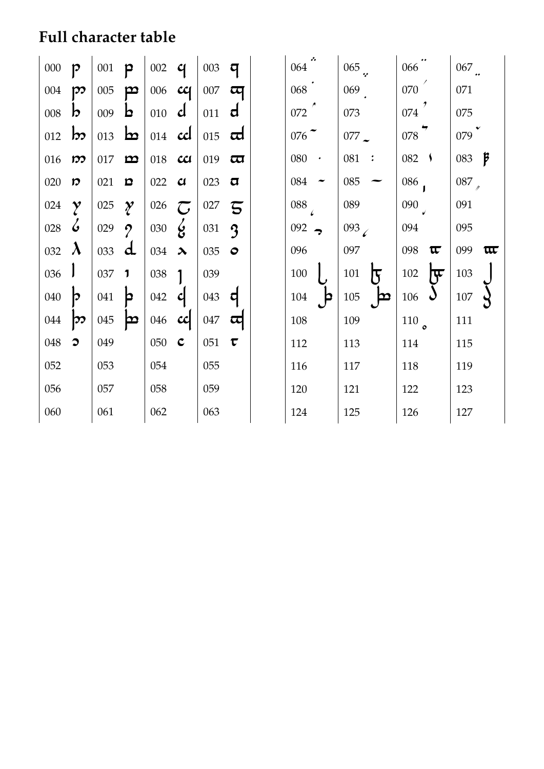## Full character table

| 000 | p                      | 001 | p                     | 002 | $\mathbf{C}$              | 003 | q                         | •.<br>064                              | $065$ $\div$          | 066                       | 067                 |
|-----|------------------------|-----|-----------------------|-----|---------------------------|-----|---------------------------|----------------------------------------|-----------------------|---------------------------|---------------------|
| 004 | က                      | 005 | മ                     | 006 | cc <sub>1</sub>           | 007 | प्प                       | 068                                    | 069                   | 070                       | 071                 |
| 008 | b                      | 009 | b                     | 010 | d                         | 011 | đ                         | 072                                    | 073                   | 074                       | 075                 |
| 012 | b                      | 013 | <u>bo</u>             | 014 | ccl                       | 015 | $\boldsymbol{\varpi}$     | $076$ <sup><math>\tilde{}</math></sup> | $077$ $\sim$          | 078                       | 079                 |
| 016 | $\mathbf{D}$           | 017 | $\boldsymbol{\omega}$ | 018 | cci                       | 019 | $\boldsymbol{\varpi}$     | 080<br>$\bullet$                       | 081<br>$\ddot{\cdot}$ | $\rightarrow$<br>082      | $\beta$<br>083      |
| 020 | $\boldsymbol{D}$       | 021 | $\mathbf{D}$          | 022 | $\mathfrak{a}$            | 023 | $\sigma$                  | 084<br>$\tilde{\phantom{a}}$           | 085                   | 086                       | $087$ <sub>//</sub> |
| 024 | $\mathbf{\hat{y}}$     | 025 | $\gamma$              | 026 | $\widetilde{\mathcal{C}}$ | 027 | $\boldsymbol{\mathsf{S}}$ | 088                                    | 089                   | 090                       | 091                 |
| 028 | $\bm{\zeta}$           | 029 | 2                     | 030 | $\cancel{a}$              | 031 | 3                         | 092                                    | 093 $\sim$            | 094                       | 095                 |
| 032 | $\boldsymbol{\lambda}$ | 033 | d                     | 034 | $\lambda$                 | 035 | $\bullet$                 | 096                                    | 097                   | 098<br>$\boldsymbol{\pi}$ | 099<br>$\pi$        |
| 036 |                        | 037 | $\mathbf{1}$          | 038 |                           | 039 |                           | 100                                    | 101<br>ιτ             | 102<br>∣Æ                 | 103                 |
| 040 | þ                      | 041 | þ                     | 042 | $\mathcal{C}$             | 043 | d                         | $\mathsf{P}$<br>104                    | 105<br>$\mathbf{p}$   | 106                       | $107\,$             |
| 044 | က                      | 045 | <u>m</u>              | 046 | cc                        | 047 | $\boldsymbol{\varpi}$     | 108                                    | 109                   | 110                       | 111                 |
| 048 | $\mathbf{D}$           | 049 |                       | 050 | $\mathbf c$               | 051 | $\tau$                    | 112                                    | 113                   | 114                       | 115                 |
| 052 |                        | 053 |                       | 054 |                           | 055 |                           | 116                                    | 117                   | 118                       | 119                 |
| 056 |                        | 057 |                       | 058 |                           | 059 |                           | 120                                    | 121                   | 122                       | 123                 |
| 060 |                        | 061 |                       | 062 |                           | 063 |                           | 124                                    | 125                   | 126                       | 127                 |